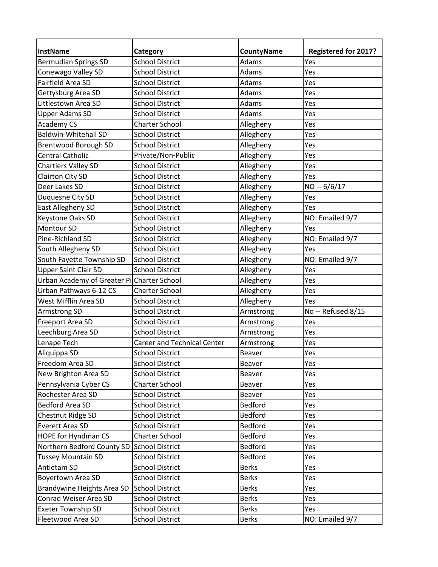| InstName                                   | <b>Category</b>                    | <b>CountyName</b> | <b>Registered for 2017?</b> |
|--------------------------------------------|------------------------------------|-------------------|-----------------------------|
| <b>Bermudian Springs SD</b>                | <b>School District</b>             | Adams             | Yes                         |
| Conewago Valley SD                         | <b>School District</b>             | Adams             | Yes                         |
| Fairfield Area SD                          | <b>School District</b>             | Adams             | Yes                         |
| Gettysburg Area SD                         | <b>School District</b>             | Adams             | Yes                         |
| Littlestown Area SD                        | <b>School District</b>             | Adams             | Yes                         |
| <b>Upper Adams SD</b>                      | <b>School District</b>             | Adams             | Yes                         |
| Academy CS                                 | <b>Charter School</b>              | Allegheny         | Yes                         |
| <b>Baldwin-Whitehall SD</b>                | <b>School District</b>             | Allegheny         | Yes                         |
| Brentwood Borough SD                       | <b>School District</b>             | Allegheny         | Yes                         |
| <b>Central Catholic</b>                    | Private/Non-Public                 | Allegheny         | Yes                         |
| <b>Chartiers Valley SD</b>                 | <b>School District</b>             | Allegheny         | Yes                         |
| Clairton City SD                           | <b>School District</b>             | Allegheny         | Yes                         |
| Deer Lakes SD                              | <b>School District</b>             | Allegheny         | NO -- 6/6/17                |
| Duquesne City SD                           | <b>School District</b>             | Allegheny         | Yes                         |
| East Allegheny SD                          | <b>School District</b>             | Allegheny         | Yes                         |
| Keystone Oaks SD                           | <b>School District</b>             | Allegheny         | NO: Emailed 9/7             |
| Montour SD                                 | <b>School District</b>             | Allegheny         | Yes                         |
| Pine-Richland SD                           | <b>School District</b>             | Allegheny         | NO: Emailed 9/7             |
| South Allegheny SD                         | <b>School District</b>             | Allegheny         | Yes                         |
| South Fayette Township SD                  | <b>School District</b>             | Allegheny         | NO: Emailed 9/7             |
| <b>Upper Saint Clair SD</b>                | <b>School District</b>             | Allegheny         | Yes                         |
| Urban Academy of Greater PilCharter School |                                    | Allegheny         | Yes                         |
| Urban Pathways 6-12 CS                     | <b>Charter School</b>              | Allegheny         | Yes                         |
| West Mifflin Area SD                       | <b>School District</b>             | Allegheny         | Yes                         |
| Armstrong SD                               | <b>School District</b>             | Armstrong         | No -- Refused 8/15          |
| Freeport Area SD                           | <b>School District</b>             | Armstrong         | Yes                         |
| Leechburg Area SD                          | <b>School District</b>             | Armstrong         | Yes                         |
| Lenape Tech                                | <b>Career and Technical Center</b> | Armstrong         | Yes                         |
| Aliquippa SD                               | <b>School District</b>             | Beaver            | Yes                         |
| Freedom Area SD                            | <b>School District</b>             | Beaver            | Yes                         |
| New Brighton Area SD                       | <b>School District</b>             | Beaver            | Yes                         |
| Pennsylvania Cyber CS                      | Charter School                     | Beaver            | Yes                         |
| Rochester Area SD                          | <b>School District</b>             | Beaver            | Yes                         |
| <b>Bedford Area SD</b>                     | <b>School District</b>             | Bedford           | Yes                         |
| Chestnut Ridge SD                          | <b>School District</b>             | Bedford           | Yes                         |
| Everett Area SD                            | <b>School District</b>             | Bedford           | Yes                         |
| HOPE for Hyndman CS                        | <b>Charter School</b>              | Bedford           | Yes                         |
| Northern Bedford County SD                 | School District                    | Bedford           | Yes                         |
| <b>Tussey Mountain SD</b>                  | <b>School District</b>             | Bedford           | Yes                         |
| Antietam SD                                | <b>School District</b>             | <b>Berks</b>      | Yes                         |
| <b>Boyertown Area SD</b>                   | <b>School District</b>             | <b>Berks</b>      | Yes                         |
| Brandywine Heights Area SD                 | <b>School District</b>             | <b>Berks</b>      | Yes                         |
| Conrad Weiser Area SD                      | <b>School District</b>             | <b>Berks</b>      | Yes                         |
| <b>Exeter Township SD</b>                  | <b>School District</b>             | <b>Berks</b>      | Yes                         |
| Fleetwood Area SD                          | <b>School District</b>             | <b>Berks</b>      | NO: Emailed 9/7             |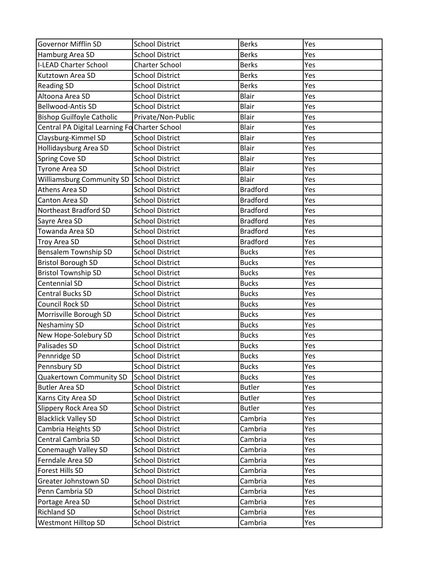| <b>Governor Mifflin SD</b>                       | <b>School District</b>                           | <b>Berks</b>                   | Yes        |
|--------------------------------------------------|--------------------------------------------------|--------------------------------|------------|
| Hamburg Area SD                                  | <b>School District</b>                           | <b>Berks</b>                   | Yes        |
| <b>I-LEAD Charter School</b>                     | <b>Charter School</b>                            | <b>Berks</b>                   | Yes        |
| Kutztown Area SD                                 | <b>School District</b>                           | <b>Berks</b>                   | Yes        |
| <b>Reading SD</b>                                | <b>School District</b>                           | <b>Berks</b>                   | Yes        |
| Altoona Area SD                                  | <b>School District</b>                           | Blair                          | Yes        |
| <b>Bellwood-Antis SD</b>                         | <b>School District</b>                           | Blair                          | Yes        |
| <b>Bishop Guilfoyle Catholic</b>                 | Private/Non-Public                               | Blair                          | Yes        |
| Central PA Digital Learning Fo Charter School    |                                                  | <b>Blair</b>                   | Yes        |
| Claysburg-Kimmel SD                              | <b>School District</b>                           | Blair                          | Yes        |
| Hollidaysburg Area SD                            | <b>School District</b>                           | Blair                          | Yes        |
| <b>Spring Cove SD</b>                            | <b>School District</b>                           | <b>Blair</b>                   | Yes        |
| <b>Tyrone Area SD</b>                            | <b>School District</b>                           | <b>Blair</b>                   | Yes        |
| <b>Williamsburg Community SD</b>                 | <b>School District</b>                           | <b>Blair</b>                   | Yes        |
| Athens Area SD                                   | <b>School District</b>                           | <b>Bradford</b>                | Yes        |
| Canton Area SD                                   | <b>School District</b>                           | <b>Bradford</b>                | Yes        |
| Northeast Bradford SD                            | <b>School District</b>                           | <b>Bradford</b>                | Yes        |
| Sayre Area SD                                    | <b>School District</b>                           | <b>Bradford</b>                | Yes        |
| Towanda Area SD                                  | <b>School District</b>                           | <b>Bradford</b>                | Yes        |
| Troy Area SD                                     | <b>School District</b>                           | <b>Bradford</b>                | Yes        |
| <b>Bensalem Township SD</b>                      | <b>School District</b>                           | <b>Bucks</b>                   | Yes        |
| <b>Bristol Borough SD</b>                        | <b>School District</b>                           | <b>Bucks</b>                   | Yes        |
| <b>Bristol Township SD</b>                       | <b>School District</b>                           | <b>Bucks</b>                   | Yes        |
| Centennial SD                                    | <b>School District</b>                           | <b>Bucks</b>                   | Yes        |
| <b>Central Bucks SD</b>                          | <b>School District</b>                           | <b>Bucks</b>                   | Yes        |
| <b>Council Rock SD</b>                           | <b>School District</b>                           | <b>Bucks</b>                   | Yes        |
| Morrisville Borough SD                           | <b>School District</b>                           | <b>Bucks</b>                   | Yes        |
| <b>Neshaminy SD</b>                              | <b>School District</b>                           | <b>Bucks</b>                   | Yes        |
| New Hope-Solebury SD                             | <b>School District</b>                           | <b>Bucks</b>                   | Yes        |
| Palisades SD                                     | <b>School District</b>                           | <b>Bucks</b>                   | Yes        |
| Pennridge SD                                     | <b>School District</b>                           | <b>Bucks</b>                   | Yes        |
|                                                  |                                                  |                                |            |
| Pennsbury SD                                     | <b>School District</b><br><b>School District</b> | <b>Bucks</b>                   | Yes        |
| Quakertown Community SD<br><b>Butler Area SD</b> | <b>School District</b>                           | <b>Bucks</b>                   | Yes<br>Yes |
|                                                  |                                                  | <b>Butler</b><br><b>Butler</b> |            |
| Karns City Area SD                               | <b>School District</b>                           |                                | Yes        |
| Slippery Rock Area SD                            | <b>School District</b>                           | <b>Butler</b>                  | Yes        |
| <b>Blacklick Valley SD</b>                       | <b>School District</b>                           | Cambria                        | Yes        |
| Cambria Heights SD                               | <b>School District</b>                           | Cambria                        | Yes        |
| Central Cambria SD                               | <b>School District</b>                           | Cambria                        | Yes        |
| Conemaugh Valley SD                              | <b>School District</b>                           | Cambria                        | Yes        |
| Ferndale Area SD                                 | <b>School District</b>                           | Cambria                        | Yes        |
| Forest Hills SD                                  | <b>School District</b>                           | Cambria                        | Yes        |
| Greater Johnstown SD                             | <b>School District</b>                           | Cambria                        | Yes        |
| Penn Cambria SD                                  | <b>School District</b>                           | Cambria                        | Yes        |
| Portage Area SD                                  | <b>School District</b>                           | Cambria                        | Yes        |
| <b>Richland SD</b>                               | <b>School District</b>                           | Cambria                        | Yes        |
| <b>Westmont Hilltop SD</b>                       | <b>School District</b>                           | Cambria                        | Yes        |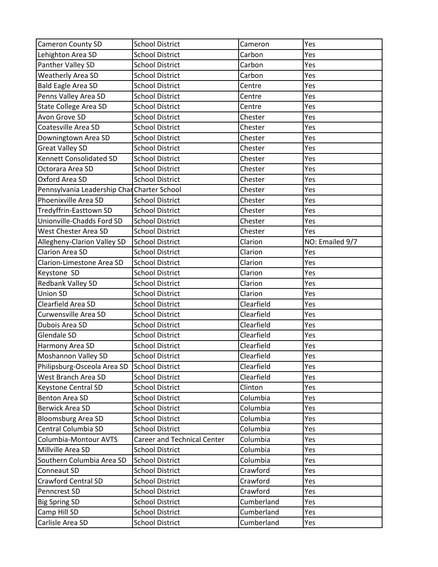| Cameron County SD                           | <b>School District</b>             | Cameron    | Yes             |
|---------------------------------------------|------------------------------------|------------|-----------------|
| Lehighton Area SD                           | <b>School District</b>             | Carbon     | Yes             |
| Panther Valley SD                           | <b>School District</b>             | Carbon     | Yes             |
| Weatherly Area SD                           | <b>School District</b>             | Carbon     | Yes             |
| <b>Bald Eagle Area SD</b>                   | <b>School District</b>             | Centre     | Yes             |
| Penns Valley Area SD                        | <b>School District</b>             | Centre     | Yes             |
| <b>State College Area SD</b>                | <b>School District</b>             | Centre     | Yes             |
| Avon Grove SD                               | <b>School District</b>             | Chester    | Yes             |
| Coatesville Area SD                         | <b>School District</b>             | Chester    | Yes             |
| Downingtown Area SD                         | <b>School District</b>             | Chester    | Yes             |
| <b>Great Valley SD</b>                      | <b>School District</b>             | Chester    | Yes             |
| Kennett Consolidated SD                     | <b>School District</b>             | Chester    | Yes             |
| Octorara Area SD                            | <b>School District</b>             | Chester    | Yes             |
| Oxford Area SD                              | <b>School District</b>             | Chester    | Yes             |
| Pennsylvania Leadership Char Charter School |                                    | Chester    | Yes             |
| Phoenixville Area SD                        | <b>School District</b>             | Chester    | Yes             |
| Tredyffrin-Easttown SD                      | <b>School District</b>             | Chester    | Yes             |
| Unionville-Chadds Ford SD                   | <b>School District</b>             | Chester    | Yes             |
| West Chester Area SD                        | <b>School District</b>             | Chester    | Yes             |
| Allegheny-Clarion Valley SD                 | <b>School District</b>             | Clarion    | NO: Emailed 9/7 |
| <b>Clarion Area SD</b>                      | <b>School District</b>             | Clarion    | Yes             |
| Clarion-Limestone Area SD                   | <b>School District</b>             | Clarion    | Yes             |
| Keystone SD                                 | <b>School District</b>             | Clarion    | Yes             |
| Redbank Valley SD                           | <b>School District</b>             | Clarion    | Yes             |
| <b>Union SD</b>                             | <b>School District</b>             | Clarion    | Yes             |
| Clearfield Area SD                          | <b>School District</b>             | Clearfield | Yes             |
| Curwensville Area SD                        | <b>School District</b>             | Clearfield | Yes             |
| Dubois Area SD                              | <b>School District</b>             | Clearfield | Yes             |
| Glendale SD                                 | <b>School District</b>             | Clearfield | Yes             |
| Harmony Area SD                             | <b>School District</b>             | Clearfield | Yes             |
| Moshannon Valley SD                         | <b>School District</b>             | Clearfield | Yes             |
| Philipsburg-Osceola Area SD                 | <b>School District</b>             | Clearfield | Yes             |
| West Branch Area SD                         | <b>School District</b>             | Clearfield | Yes             |
| <b>Keystone Central SD</b>                  | <b>School District</b>             | Clinton    | Yes             |
| <b>Benton Area SD</b>                       | <b>School District</b>             | Columbia   | Yes             |
| <b>Berwick Area SD</b>                      | <b>School District</b>             | Columbia   | Yes             |
| <b>Bloomsburg Area SD</b>                   | <b>School District</b>             | Columbia   | Yes             |
| Central Columbia SD                         | <b>School District</b>             | Columbia   | Yes             |
| Columbia-Montour AVTS                       | <b>Career and Technical Center</b> | Columbia   | Yes             |
| Millville Area SD                           | <b>School District</b>             | Columbia   | Yes             |
| Southern Columbia Area SD                   | <b>School District</b>             | Columbia   | Yes             |
| Conneaut SD                                 | <b>School District</b>             | Crawford   | Yes             |
| <b>Crawford Central SD</b>                  | <b>School District</b>             | Crawford   | Yes             |
| Penncrest SD                                | <b>School District</b>             | Crawford   | Yes             |
| <b>Big Spring SD</b>                        | <b>School District</b>             | Cumberland | Yes             |
| Camp Hill SD                                | <b>School District</b>             | Cumberland | Yes             |
| Carlisle Area SD                            | <b>School District</b>             | Cumberland | Yes             |
|                                             |                                    |            |                 |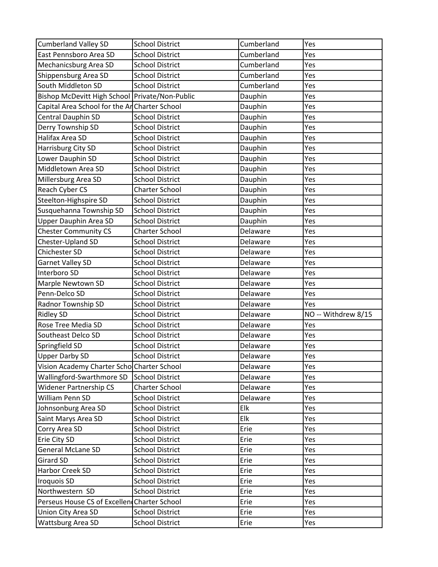| <b>Cumberland Valley SD</b>                    | <b>School District</b>                           | Cumberland   | Yes                 |
|------------------------------------------------|--------------------------------------------------|--------------|---------------------|
| East Pennsboro Area SD                         | <b>School District</b>                           | Cumberland   | Yes                 |
| Mechanicsburg Area SD                          | <b>School District</b>                           | Cumberland   | Yes                 |
| Shippensburg Area SD                           | <b>School District</b>                           | Cumberland   | Yes                 |
| South Middleton SD                             | <b>School District</b>                           | Cumberland   | Yes                 |
| Bishop McDevitt High School Private/Non-Public |                                                  | Dauphin      | Yes                 |
| Capital Area School for the An Charter School  |                                                  | Dauphin      | Yes                 |
| Central Dauphin SD                             | <b>School District</b>                           | Dauphin      | Yes                 |
| Derry Township SD                              | <b>School District</b>                           | Dauphin      | Yes                 |
| Halifax Area SD                                | <b>School District</b>                           | Dauphin      | Yes                 |
| Harrisburg City SD                             | <b>School District</b>                           | Dauphin      | Yes                 |
| Lower Dauphin SD                               | <b>School District</b>                           | Dauphin      | Yes                 |
| Middletown Area SD                             | <b>School District</b>                           | Dauphin      | Yes                 |
| Millersburg Area SD                            | <b>School District</b>                           | Dauphin      | Yes                 |
| Reach Cyber CS                                 | <b>Charter School</b>                            | Dauphin      | Yes                 |
| Steelton-Highspire SD                          | <b>School District</b>                           | Dauphin      | Yes                 |
| Susquehanna Township SD                        | <b>School District</b>                           | Dauphin      | Yes                 |
| <b>Upper Dauphin Area SD</b>                   | <b>School District</b>                           | Dauphin      | Yes                 |
| <b>Chester Community CS</b>                    | <b>Charter School</b>                            | Delaware     | Yes                 |
| Chester-Upland SD                              | <b>School District</b>                           | Delaware     | Yes                 |
| Chichester SD                                  | <b>School District</b>                           | Delaware     | Yes                 |
| <b>Garnet Valley SD</b>                        | <b>School District</b>                           | Delaware     | Yes                 |
| Interboro SD                                   | <b>School District</b>                           | Delaware     | Yes                 |
| Marple Newtown SD                              | <b>School District</b>                           | Delaware     | Yes                 |
| Penn-Delco SD                                  | <b>School District</b>                           | Delaware     | Yes                 |
| Radnor Township SD                             | <b>School District</b>                           | Delaware     | Yes                 |
| <b>Ridley SD</b>                               | <b>School District</b>                           | Delaware     | NO -- Withdrew 8/15 |
| Rose Tree Media SD                             | <b>School District</b>                           | Delaware     | Yes                 |
| Southeast Delco SD                             | <b>School District</b>                           | Delaware     | Yes                 |
| Springfield SD                                 | <b>School District</b>                           | Delaware     | Yes                 |
| Upper Darby SD                                 | <b>School District</b>                           | Delaware     | Yes                 |
|                                                |                                                  |              |                     |
| Vision Academy Charter Schol Charter School    |                                                  | Delaware     | Yes                 |
| Wallingford-Swarthmore SD                      | <b>School District</b>                           | Delaware     | Yes                 |
| <b>Widener Partnership CS</b>                  | <b>Charter School</b>                            | Delaware     | Yes                 |
| William Penn SD                                | <b>School District</b>                           | Delaware     | Yes                 |
| Johnsonburg Area SD                            | <b>School District</b>                           | Elk          | Yes                 |
| Saint Marys Area SD                            | <b>School District</b>                           | Elk          | Yes                 |
| Corry Area SD                                  | <b>School District</b>                           | Erie         | Yes                 |
| Erie City SD                                   | <b>School District</b>                           | Erie         | Yes                 |
| <b>General McLane SD</b>                       | <b>School District</b>                           | Erie         | Yes                 |
| <b>Girard SD</b>                               | <b>School District</b>                           | Erie         | Yes                 |
| Harbor Creek SD                                | <b>School District</b>                           | Erie         | Yes                 |
| <b>Iroquois SD</b>                             | <b>School District</b>                           | Erie         | Yes                 |
| Northwestern SD                                | <b>School District</b>                           | Erie         | Yes                 |
| Perseus House CS of Excellen Charter School    |                                                  | Erie         | Yes                 |
|                                                |                                                  |              |                     |
| Union City Area SD<br><b>Wattsburg Area SD</b> | <b>School District</b><br><b>School District</b> | Erie<br>Erie | Yes<br>Yes          |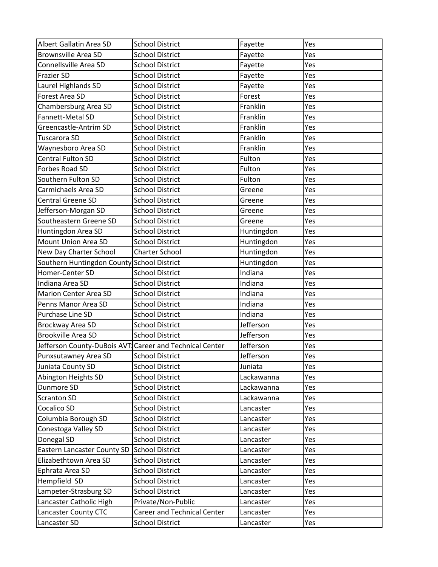| Albert Gallatin Area SD                                 | <b>School District</b>             | Fayette    | Yes |
|---------------------------------------------------------|------------------------------------|------------|-----|
| <b>Brownsville Area SD</b>                              | <b>School District</b>             | Fayette    | Yes |
| Connellsville Area SD                                   | <b>School District</b>             | Fayette    | Yes |
| <b>Frazier SD</b>                                       | <b>School District</b>             | Fayette    | Yes |
| Laurel Highlands SD                                     | <b>School District</b>             | Fayette    | Yes |
| Forest Area SD                                          | <b>School District</b>             | Forest     | Yes |
| Chambersburg Area SD                                    | <b>School District</b>             | Franklin   | Yes |
| Fannett-Metal SD                                        | <b>School District</b>             | Franklin   | Yes |
| Greencastle-Antrim SD                                   | <b>School District</b>             | Franklin   | Yes |
| Tuscarora SD                                            | <b>School District</b>             | Franklin   | Yes |
| Waynesboro Area SD                                      | <b>School District</b>             | Franklin   | Yes |
| <b>Central Fulton SD</b>                                | <b>School District</b>             | Fulton     | Yes |
| Forbes Road SD                                          | <b>School District</b>             | Fulton     | Yes |
| Southern Fulton SD                                      | <b>School District</b>             | Fulton     | Yes |
| Carmichaels Area SD                                     | <b>School District</b>             | Greene     | Yes |
| <b>Central Greene SD</b>                                | <b>School District</b>             | Greene     | Yes |
| Jefferson-Morgan SD                                     | <b>School District</b>             | Greene     | Yes |
| Southeastern Greene SD                                  | <b>School District</b>             | Greene     | Yes |
| Huntingdon Area SD                                      | <b>School District</b>             | Huntingdon | Yes |
| Mount Union Area SD                                     | <b>School District</b>             | Huntingdon | Yes |
| New Day Charter School                                  | <b>Charter School</b>              | Huntingdon | Yes |
| Southern Huntingdon County School District              |                                    | Huntingdon | Yes |
| Homer-Center SD                                         | <b>School District</b>             | Indiana    | Yes |
| Indiana Area SD                                         | <b>School District</b>             | Indiana    | Yes |
| <b>Marion Center Area SD</b>                            | <b>School District</b>             | Indiana    | Yes |
| Penns Manor Area SD                                     | <b>School District</b>             | Indiana    | Yes |
| Purchase Line SD                                        | <b>School District</b>             | Indiana    | Yes |
| Brockway Area SD                                        | <b>School District</b>             | Jefferson  | Yes |
| <b>Brookville Area SD</b>                               | <b>School District</b>             | Jefferson  | Yes |
| Jefferson County-DuBois AVT Career and Technical Center |                                    | Jefferson  | Yes |
| Punxsutawney Area SD                                    | <b>School District</b>             | Jefferson  | Yes |
| Juniata County SD                                       | <b>School District</b>             | Juniata    | Yes |
| Abington Heights SD                                     | <b>School District</b>             | Lackawanna | Yes |
| Dunmore SD                                              | <b>School District</b>             | Lackawanna | Yes |
| <b>Scranton SD</b>                                      | <b>School District</b>             | Lackawanna | Yes |
| Cocalico SD                                             | <b>School District</b>             | Lancaster  | Yes |
| Columbia Borough SD                                     | <b>School District</b>             | Lancaster  | Yes |
| Conestoga Valley SD                                     | <b>School District</b>             | Lancaster  | Yes |
| Donegal SD                                              | <b>School District</b>             | Lancaster  | Yes |
| Eastern Lancaster County SD                             | <b>School District</b>             | Lancaster  | Yes |
| Elizabethtown Area SD                                   | <b>School District</b>             | Lancaster  | Yes |
| Ephrata Area SD                                         | <b>School District</b>             | Lancaster  | Yes |
| Hempfield SD                                            | <b>School District</b>             | Lancaster  | Yes |
| Lampeter-Strasburg SD                                   | <b>School District</b>             | Lancaster  | Yes |
| Lancaster Catholic High                                 | Private/Non-Public                 | Lancaster  | Yes |
| Lancaster County CTC                                    | <b>Career and Technical Center</b> | Lancaster  | Yes |
| Lancaster SD                                            | <b>School District</b>             | Lancaster  | Yes |
|                                                         |                                    |            |     |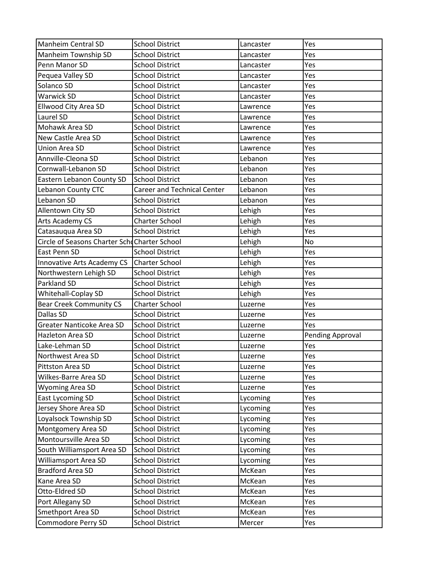| <b>Manheim Central SD</b>                    | <b>School District</b>             | Lancaster | Yes                     |
|----------------------------------------------|------------------------------------|-----------|-------------------------|
| Manheim Township SD                          | <b>School District</b>             | Lancaster | Yes                     |
| Penn Manor SD                                | <b>School District</b>             | Lancaster | Yes                     |
| Pequea Valley SD                             | <b>School District</b>             | Lancaster | Yes                     |
| Solanco SD                                   | <b>School District</b>             | Lancaster | Yes                     |
| <b>Warwick SD</b>                            | <b>School District</b>             | Lancaster | Yes                     |
| Ellwood City Area SD                         | <b>School District</b>             | Lawrence  | Yes                     |
| Laurel SD                                    | <b>School District</b>             | Lawrence  | Yes                     |
| Mohawk Area SD                               | <b>School District</b>             | Lawrence  | Yes                     |
| New Castle Area SD                           | <b>School District</b>             | Lawrence  | Yes                     |
| <b>Union Area SD</b>                         | <b>School District</b>             | Lawrence  | Yes                     |
| Annville-Cleona SD                           | <b>School District</b>             | Lebanon   | Yes                     |
| Cornwall-Lebanon SD                          | <b>School District</b>             | Lebanon   | Yes                     |
| Eastern Lebanon County SD                    | <b>School District</b>             | Lebanon   | Yes                     |
| Lebanon County CTC                           | <b>Career and Technical Center</b> | Lebanon   | Yes                     |
| Lebanon SD                                   | <b>School District</b>             | Lebanon   | Yes                     |
| Allentown City SD                            | <b>School District</b>             | Lehigh    | Yes                     |
| Arts Academy CS                              | <b>Charter School</b>              | Lehigh    | Yes                     |
| Catasauqua Area SD                           | <b>School District</b>             | Lehigh    | Yes                     |
| Circle of Seasons Charter SchdCharter School |                                    | Lehigh    | <b>No</b>               |
| East Penn SD                                 | <b>School District</b>             | Lehigh    | Yes                     |
| Innovative Arts Academy CS                   | <b>Charter School</b>              | Lehigh    | Yes                     |
| Northwestern Lehigh SD                       | <b>School District</b>             | Lehigh    | Yes                     |
| Parkland SD                                  | <b>School District</b>             | Lehigh    | Yes                     |
| Whitehall-Coplay SD                          | <b>School District</b>             | Lehigh    | Yes                     |
| <b>Bear Creek Community CS</b>               | <b>Charter School</b>              | Luzerne   | Yes                     |
| <b>Dallas SD</b>                             | <b>School District</b>             | Luzerne   | Yes                     |
| Greater Nanticoke Area SD                    | <b>School District</b>             | Luzerne   | Yes                     |
| Hazleton Area SD                             | <b>School District</b>             | Luzerne   | <b>Pending Approval</b> |
| Lake-Lehman SD                               | <b>School District</b>             | Luzerne   | Yes                     |
| Northwest Area SD                            | <b>School District</b>             | Luzerne   | Yes                     |
| Pittston Area SD                             | <b>School District</b>             | Luzerne   | Yes                     |
| Wilkes-Barre Area SD                         | <b>School District</b>             | Luzerne   | Yes                     |
| <b>Wyoming Area SD</b>                       | <b>School District</b>             | Luzerne   | Yes                     |
| <b>East Lycoming SD</b>                      | <b>School District</b>             | Lycoming  | Yes                     |
| Jersey Shore Area SD                         | <b>School District</b>             | Lycoming  | Yes                     |
| Loyalsock Township SD                        | <b>School District</b>             | Lycoming  | Yes                     |
| Montgomery Area SD                           | <b>School District</b>             | Lycoming  | Yes                     |
| Montoursville Area SD                        | <b>School District</b>             | Lycoming  | Yes                     |
| South Williamsport Area SD                   | <b>School District</b>             | Lycoming  | Yes                     |
| Williamsport Area SD                         | <b>School District</b>             | Lycoming  | Yes                     |
| <b>Bradford Area SD</b>                      | <b>School District</b>             | McKean    | Yes                     |
| Kane Area SD                                 | <b>School District</b>             | McKean    | Yes                     |
| Otto-Eldred SD                               | <b>School District</b>             | McKean    | Yes                     |
| Port Allegany SD                             | <b>School District</b>             | McKean    | Yes                     |
| Smethport Area SD                            | <b>School District</b>             | McKean    | Yes                     |
| Commodore Perry SD                           | <b>School District</b>             | Mercer    | Yes                     |
|                                              |                                    |           |                         |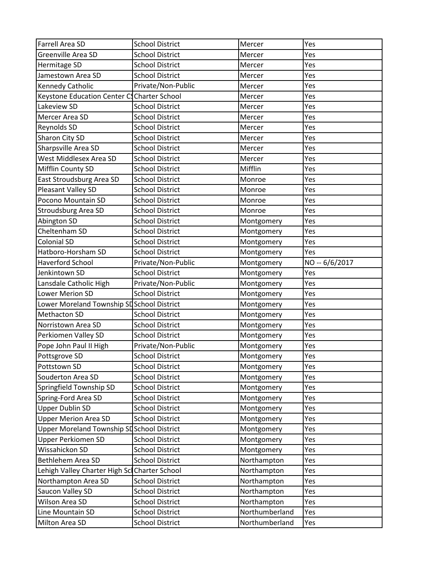| Farrell Area SD                               | <b>School District</b> | Mercer         | Yes            |
|-----------------------------------------------|------------------------|----------------|----------------|
| <b>Greenville Area SD</b>                     | <b>School District</b> | Mercer         | Yes            |
| Hermitage SD                                  | <b>School District</b> | Mercer         | Yes            |
| Jamestown Area SD                             | <b>School District</b> | Mercer         | Yes            |
| Kennedy Catholic                              | Private/Non-Public     | Mercer         | Yes            |
| Keystone Education Center CS Charter School   |                        | Mercer         | Yes            |
| Lakeview SD                                   | <b>School District</b> | Mercer         | Yes            |
| Mercer Area SD                                | <b>School District</b> | Mercer         | Yes            |
| Reynolds SD                                   | <b>School District</b> | Mercer         | Yes            |
| Sharon City SD                                | <b>School District</b> | Mercer         | Yes            |
| Sharpsville Area SD                           | <b>School District</b> | Mercer         | Yes            |
| West Middlesex Area SD                        | <b>School District</b> | Mercer         | Yes            |
| Mifflin County SD                             | <b>School District</b> | Mifflin        | Yes            |
| East Stroudsburg Area SD                      | <b>School District</b> | Monroe         | Yes            |
| Pleasant Valley SD                            | <b>School District</b> | Monroe         | Yes            |
| Pocono Mountain SD                            | <b>School District</b> | Monroe         | Yes            |
| Stroudsburg Area SD                           | <b>School District</b> | Monroe         | Yes            |
| Abington SD                                   | <b>School District</b> | Montgomery     | Yes            |
| Cheltenham SD                                 | <b>School District</b> | Montgomery     | Yes            |
| <b>Colonial SD</b>                            | <b>School District</b> | Montgomery     | Yes            |
| Hatboro-Horsham SD                            | <b>School District</b> | Montgomery     | Yes            |
| <b>Haverford School</b>                       | Private/Non-Public     | Montgomery     | NO -- 6/6/2017 |
| Jenkintown SD                                 | <b>School District</b> | Montgomery     | Yes            |
| Lansdale Catholic High                        | Private/Non-Public     | Montgomery     | Yes            |
| <b>Lower Merion SD</b>                        | <b>School District</b> | Montgomery     | Yes            |
| Lower Moreland Township SDSchool District     |                        | Montgomery     | Yes            |
| <b>Methacton SD</b>                           | <b>School District</b> | Montgomery     | Yes            |
| Norristown Area SD                            | <b>School District</b> | Montgomery     | Yes            |
| Perkiomen Valley SD                           | <b>School District</b> | Montgomery     | Yes            |
| Pope John Paul II High                        | Private/Non-Public     | Montgomery     | Yes            |
| Pottsgrove SD                                 | <b>School District</b> | Montgomery     | Yes            |
| Pottstown SD                                  | <b>School District</b> | Montgomery     | Yes            |
| Souderton Area SD                             | <b>School District</b> | Montgomery     | Yes            |
| Springfield Township SD                       | <b>School District</b> | Montgomery     | Yes            |
| Spring-Ford Area SD                           | <b>School District</b> | Montgomery     | Yes            |
| <b>Upper Dublin SD</b>                        | <b>School District</b> | Montgomery     | Yes            |
| <b>Upper Merion Area SD</b>                   | <b>School District</b> | Montgomery     | Yes            |
| Upper Moreland Township SL School District    |                        | Montgomery     | Yes            |
| <b>Upper Perkiomen SD</b>                     | <b>School District</b> | Montgomery     | Yes            |
| Wissahickon SD                                | <b>School District</b> | Montgomery     | Yes            |
| Bethlehem Area SD                             | <b>School District</b> | Northampton    | Yes            |
| Lehigh Valley Charter High Scl Charter School |                        | Northampton    | Yes            |
| Northampton Area SD                           | <b>School District</b> | Northampton    | Yes            |
| Saucon Valley SD                              | <b>School District</b> | Northampton    | Yes            |
| Wilson Area SD                                | <b>School District</b> | Northampton    | Yes            |
| Line Mountain SD                              | <b>School District</b> | Northumberland | Yes            |
| Milton Area SD                                | <b>School District</b> | Northumberland | Yes            |
|                                               |                        |                |                |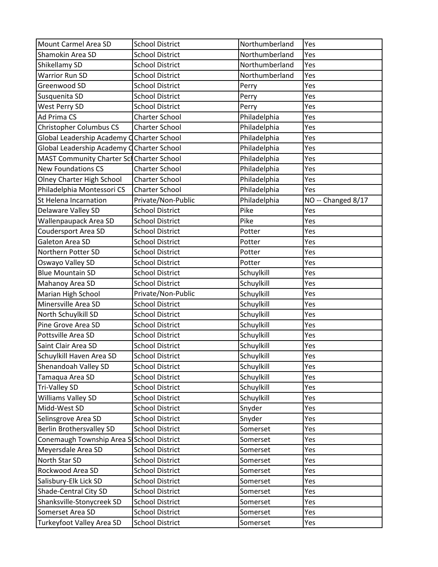| Mount Carmel Area SD                      | <b>School District</b> | Northumberland | Yes                |
|-------------------------------------------|------------------------|----------------|--------------------|
| Shamokin Area SD                          | <b>School District</b> | Northumberland | Yes                |
| Shikellamy SD                             | <b>School District</b> | Northumberland | Yes                |
| <b>Warrior Run SD</b>                     | <b>School District</b> | Northumberland | Yes                |
| Greenwood SD                              | <b>School District</b> | Perry          | Yes                |
| Susquenita SD                             | <b>School District</b> | Perry          | Yes                |
| West Perry SD                             | <b>School District</b> | Perry          | Yes                |
| Ad Prima CS                               | <b>Charter School</b>  | Philadelphia   | Yes                |
| Christopher Columbus CS                   | <b>Charter School</b>  | Philadelphia   | Yes                |
| Global Leadership Academy CCharter School |                        | Philadelphia   | Yes                |
| Global Leadership Academy CCharter School |                        | Philadelphia   | Yes                |
| MAST Community Charter Sch Charter School |                        | Philadelphia   | Yes                |
| <b>New Foundations CS</b>                 | <b>Charter School</b>  | Philadelphia   | Yes                |
| Olney Charter High School                 | <b>Charter School</b>  | Philadelphia   | Yes                |
| Philadelphia Montessori CS                | <b>Charter School</b>  | Philadelphia   | Yes                |
| St Helena Incarnation                     | Private/Non-Public     | Philadelphia   | NO -- Changed 8/17 |
| Delaware Valley SD                        | <b>School District</b> | Pike           | Yes                |
| Wallenpaupack Area SD                     | <b>School District</b> | Pike           | Yes                |
| Coudersport Area SD                       | <b>School District</b> | Potter         | Yes                |
| Galeton Area SD                           | <b>School District</b> | Potter         | Yes                |
| Northern Potter SD                        | <b>School District</b> | Potter         | Yes                |
| Oswayo Valley SD                          | <b>School District</b> | Potter         | Yes                |
| <b>Blue Mountain SD</b>                   | <b>School District</b> | Schuylkill     | Yes                |
| Mahanoy Area SD                           | <b>School District</b> | Schuylkill     | Yes                |
| Marian High School                        | Private/Non-Public     | Schuylkill     | Yes                |
| Minersville Area SD                       | <b>School District</b> | Schuylkill     | Yes                |
| North Schuylkill SD                       | <b>School District</b> | Schuylkill     | Yes                |
| Pine Grove Area SD                        | <b>School District</b> | Schuylkill     | Yes                |
| Pottsville Area SD                        | <b>School District</b> | Schuylkill     | Yes                |
| Saint Clair Area SD                       | <b>School District</b> | Schuylkill     | Yes                |
| Schuylkill Haven Area SD                  | <b>School District</b> | Schuylkill     | Yes                |
| Shenandoah Valley SD                      | <b>School District</b> | Schuylkill     | Yes                |
| Tamaqua Area SD                           | <b>School District</b> | Schuylkill     | Yes                |
| <b>Tri-Valley SD</b>                      | <b>School District</b> | Schuylkill     | Yes                |
| <b>Williams Valley SD</b>                 | <b>School District</b> | Schuylkill     | Yes                |
| Midd-West SD                              | <b>School District</b> | Snyder         | Yes                |
| Selinsgrove Area SD                       | <b>School District</b> | Snyder         | Yes                |
| <b>Berlin Brothersvalley SD</b>           | <b>School District</b> | Somerset       | Yes                |
| Conemaugh Township Area SISchool District |                        | Somerset       | Yes                |
| Meyersdale Area SD                        | <b>School District</b> | Somerset       | Yes                |
| North Star SD                             | <b>School District</b> | Somerset       | Yes                |
| Rockwood Area SD                          | <b>School District</b> | Somerset       | Yes                |
| Salisbury-Elk Lick SD                     | <b>School District</b> | Somerset       | Yes                |
| Shade-Central City SD                     | <b>School District</b> | Somerset       | Yes                |
| Shanksville-Stonycreek SD                 | <b>School District</b> | Somerset       | Yes                |
| Somerset Area SD                          |                        |                |                    |
|                                           | <b>School District</b> | Somerset       | Yes                |
| Turkeyfoot Valley Area SD                 | <b>School District</b> | Somerset       | Yes                |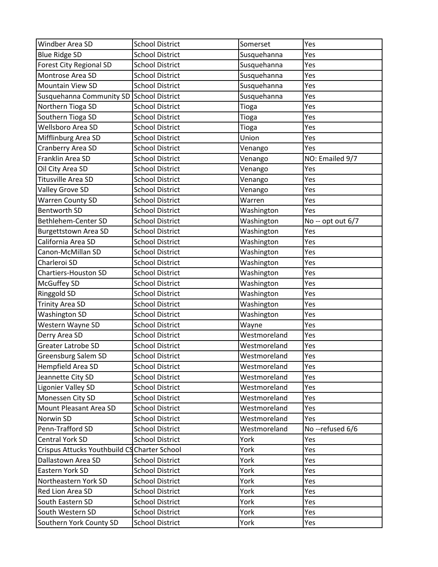| Windber Area SD                              | <b>School District</b> | Somerset     | Yes               |
|----------------------------------------------|------------------------|--------------|-------------------|
| <b>Blue Ridge SD</b>                         | <b>School District</b> | Susquehanna  | Yes               |
| <b>Forest City Regional SD</b>               | <b>School District</b> | Susquehanna  | Yes               |
| Montrose Area SD                             | <b>School District</b> | Susquehanna  | Yes               |
| <b>Mountain View SD</b>                      | <b>School District</b> | Susquehanna  | Yes               |
| Susquehanna Community SD School District     |                        | Susquehanna  | Yes               |
| Northern Tioga SD                            | <b>School District</b> | Tioga        | Yes               |
| Southern Tioga SD                            | <b>School District</b> | Tioga        | Yes               |
| <b>Wellsboro Area SD</b>                     | <b>School District</b> | Tioga        | Yes               |
| Mifflinburg Area SD                          | <b>School District</b> | Union        | Yes               |
| Cranberry Area SD                            | <b>School District</b> | Venango      | Yes               |
| Franklin Area SD                             | <b>School District</b> | Venango      | NO: Emailed 9/7   |
| Oil City Area SD                             | <b>School District</b> | Venango      | Yes               |
| Titusville Area SD                           | <b>School District</b> | Venango      | Yes               |
| Valley Grove SD                              | <b>School District</b> | Venango      | Yes               |
| <b>Warren County SD</b>                      | <b>School District</b> | Warren       | Yes               |
| <b>Bentworth SD</b>                          | <b>School District</b> | Washington   | Yes               |
| Bethlehem-Center SD                          | <b>School District</b> | Washington   | No -- opt out 6/7 |
| <b>Burgettstown Area SD</b>                  | <b>School District</b> | Washington   | Yes               |
| California Area SD                           | <b>School District</b> | Washington   | Yes               |
| Canon-McMillan SD                            | <b>School District</b> | Washington   | Yes               |
| Charleroi SD                                 | <b>School District</b> |              | Yes               |
| <b>Chartiers-Houston SD</b>                  | <b>School District</b> | Washington   | Yes               |
|                                              |                        | Washington   |                   |
| McGuffey SD                                  | <b>School District</b> | Washington   | Yes               |
| Ringgold SD                                  | <b>School District</b> | Washington   | Yes               |
| <b>Trinity Area SD</b>                       | <b>School District</b> | Washington   | Yes               |
| <b>Washington SD</b>                         | <b>School District</b> | Washington   | Yes               |
| Western Wayne SD                             | <b>School District</b> | Wayne        | Yes               |
| Derry Area SD                                | <b>School District</b> | Westmoreland | Yes               |
| <b>Greater Latrobe SD</b>                    | <b>School District</b> | Westmoreland | Yes               |
| Greensburg Salem SD                          | <b>School District</b> | Westmoreland | Yes               |
| <b>Hempfield Area SD</b>                     | <b>School District</b> | Westmoreland | Yes               |
| Jeannette City SD                            | <b>School District</b> | Westmoreland | Yes               |
| <b>Ligonier Valley SD</b>                    | <b>School District</b> | Westmoreland | Yes               |
| Monessen City SD                             | <b>School District</b> | Westmoreland | Yes               |
| Mount Pleasant Area SD                       | <b>School District</b> | Westmoreland | Yes               |
| Norwin SD                                    | <b>School District</b> | Westmoreland | Yes               |
| Penn-Trafford SD                             | <b>School District</b> | Westmoreland | No -- refused 6/6 |
| <b>Central York SD</b>                       | <b>School District</b> | York         | Yes               |
| Crispus Attucks Youthbuild CS Charter School |                        | York         | Yes               |
| Dallastown Area SD                           | <b>School District</b> | York         | Yes               |
| Eastern York SD                              | <b>School District</b> | York         | Yes               |
| Northeastern York SD                         | <b>School District</b> | York         | Yes               |
| Red Lion Area SD                             | <b>School District</b> | York         | Yes               |
| South Eastern SD                             | <b>School District</b> | York         | Yes               |
| South Western SD                             | <b>School District</b> | York         | Yes               |
| Southern York County SD                      | <b>School District</b> | York         | Yes               |
|                                              |                        |              |                   |